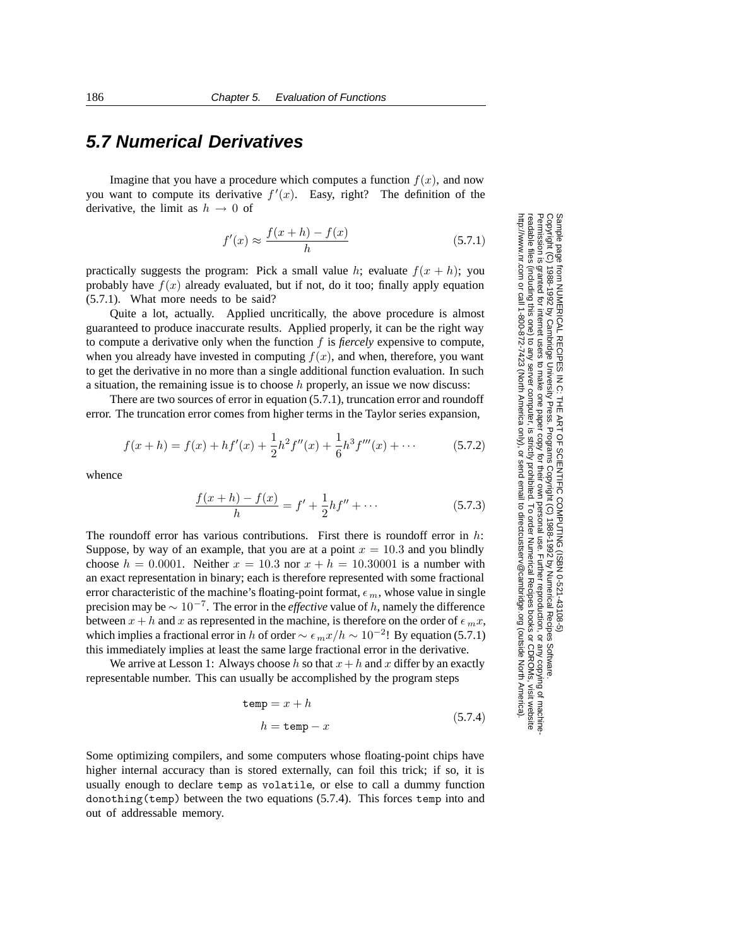## **5.7 Numerical Derivatives**

Imagine that you have a procedure which computes a function  $f(x)$ , and now you want to compute its derivative  $f'(x)$ . Easy, right? The definition of the derivative, the limit as  $h \rightarrow 0$  of

$$
f'(x) \approx \frac{f(x+h) - f(x)}{h}
$$
\n(5.7.1)

practically suggests the program: Pick a small value h; evaluate  $f(x + h)$ ; you probably have  $f(x)$  already evaluated, but if not, do it too; finally apply equation (5.7.1). What more needs to be said?

Quite a lot, actually. Applied uncritically, the above procedure is almost guaranteed to produce inaccurate results. Applied properly, it can be the right way to compute a derivative only when the function f is *fiercely* expensive to compute, when you already have invested in computing  $f(x)$ , and when, therefore, you want to get the derivative in no more than a single additional function evaluation. In such a situation, the remaining issue is to choose  $h$  properly, an issue we now discuss:

There are two sources of error in equation (5.7.1), truncation error and roundoff error. The truncation error comes from higher terms in the Taylor series expansion,

$$
f(x+h) = f(x) + hf'(x) + \frac{1}{2}h^2f''(x) + \frac{1}{6}h^3f'''(x) + \cdots
$$
 (5.7.2)

whence

$$
\frac{f(x+h) - f(x)}{h} = f' + \frac{1}{2}hf'' + \dots
$$
\n(5.7.3)

The roundoff error has various contributions. First there is roundoff error in  $h$ : Suppose, by way of an example, that you are at a point  $x = 10.3$  and you blindly choose  $h = 0.0001$ . Neither  $x = 10.3$  nor  $x + h = 10.30001$  is a number with an exact representation in binary; each is therefore represented with some fractional error characteristic of the machine's floating-point format,  $\epsilon_m$ , whose value in single precision may be  $\sim 10^{-7}$ . The error in the *effective* value of h, namely the difference between  $x + h$  and x as represented in the machine, is therefore on the order of  $\epsilon_{m}x$ , which implies a fractional error in h of order  $\sim \epsilon_m x/h \sim 10^{-2}$ ! By equation (5.7.1) this immediately implies at least the same large fractional error in the derivative.

We arrive at Lesson 1: Always choose h so that  $x + h$  and x differ by an exactly representable number. This can usually be accomplished by the program steps

$$
\begin{aligned} \n\text{temp} &= x + h \\ \nh &= \text{temp} - x \n\end{aligned} \tag{5.7.4}
$$

Some optimizing compilers, and some computers whose floating-point chips have higher internal accuracy than is stored externally, can foil this trick; if so, it is usually enough to declare temp as volatile, or else to call a dummy function donothing(temp) between the two equations (5.7.4). This forces temp into and out of addressable memory.

Copyright (C) 1988-1992 by Cambridge University Press.Sample page from NUMERICAL RECIPES IN C: THE ART OF SCIENTIFIC COMPUTING (ISBN 0-521-43108-5) http://www.nr.com or call 1-800-872-7423 (North America only),readable files (including this one) to any serverPermission is granted for internet users to make one paper copy for their own personal use. Further reproduction, or any copyin Copyright ped ardue  $\widehat{\Omega}$ from NUMERICAL RECIPES IN C: THE ART OF SCIENTIFIC COMPUTING (ISBN 0-521-43108-5)<br>1988-1992 by Cambridge University Press. Programs Copyright (C) 1988-1992 by Numerical Recipes Software **IFTHE CONFINITY OF RECIPES IN C. THE** computer, is strictly prohibited. To order Numerical Recipes booksPrograms Copyright (C) 1988-1992 by Numerical Recipes Software. or send email to directcustserv@cambridge.org (outside North America). or CDROMs, visit website g of machine-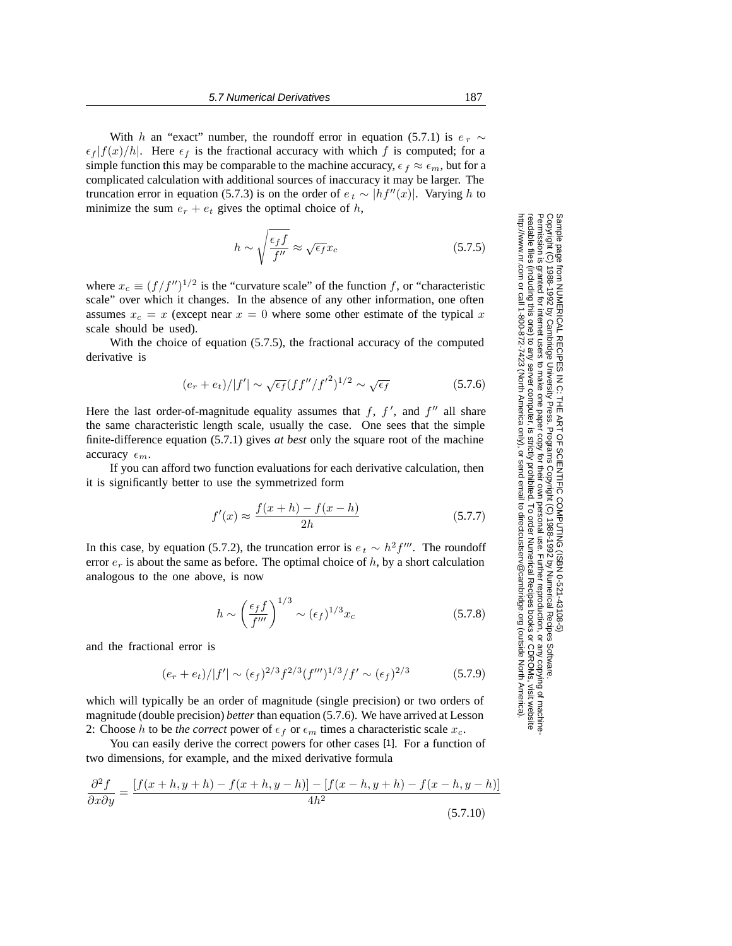With h an "exact" number, the roundoff error in equation (5.7.1) is  $e_r \sim$  $\epsilon_f |f(x)/h|$ . Here  $\epsilon_f$  is the fractional accuracy with which f is computed; for a simple function this may be comparable to the machine accuracy,  $\epsilon_f \approx \epsilon_m$ , but for a complicated calculation with additional sources of inaccuracy it may be larger. The truncation error in equation (5.7.3) is on the order of  $e_t \sim |hf''(x)|$ . Varying h to minimize the sum  $e_r + e_t$  gives the optimal choice of h,

$$
h \sim \sqrt{\frac{\epsilon_f f}{f''}} \approx \sqrt{\epsilon_f} x_c \tag{5.7.5}
$$

where  $x_c \equiv (f/f'')^{1/2}$  is the "curvature scale" of the function f, or "characteristic scale" over which it changes. In the absence of any other information, one often assumes  $x_c = x$  (except near  $x = 0$  where some other estimate of the typical x scale should be used).

With the choice of equation (5.7.5), the fractional accuracy of the computed derivative is

$$
(e_r + e_t) / |f'| \sim \sqrt{\epsilon_f} (f f'' / f'^2)^{1/2} \sim \sqrt{\epsilon_f}
$$
 (5.7.6)

Here the last order-of-magnitude equality assumes that  $f$ ,  $f'$ , and  $f''$  all share the same characteristic length scale, usually the case. One sees that the simple finite-difference equation (5.7.1) gives *at best* only the square root of the machine accuracy  $\epsilon_m$ .

If you can afford two function evaluations for each derivative calculation, then it is significantly better to use the symmetrized form

$$
f'(x) \approx \frac{f(x+h) - f(x-h)}{2h} \tag{5.7.7}
$$

In this case, by equation (5.7.2), the truncation error is  $e_t \sim h^2 f'''$ . The roundoff error  $e_r$  is about the same as before. The optimal choice of  $h$ , by a short calculation analogous to the one above, is now

$$
h \sim \left(\frac{\epsilon_f f}{f'''}\right)^{1/3} \sim (\epsilon_f)^{1/3} x_c \tag{5.7.8}
$$

and the fractional error is

$$
(e_r + e_t)/|f'| \sim (\epsilon_f)^{2/3} f^{2/3} (f''')^{1/3} / f' \sim (\epsilon_f)^{2/3}
$$
 (5.7.9)

which will typically be an order of magnitude (single precision) or two orders of magnitude (double precision) *better* than equation (5.7.6). We have arrived at Lesson 2: Choose h to be *the correct* power of  $\epsilon_f$  or  $\epsilon_m$  times a characteristic scale  $x_c$ .

You can easily derive the correct powers for other cases [1]. For a function of two dimensions, for example, and the mixed derivative formula

$$
\frac{\partial^2 f}{\partial x \partial y} = \frac{[f(x+h, y+h) - f(x+h, y-h)] - [f(x-h, y+h) - f(x-h, y-h)]}{4h^2}
$$
(5.7.10)

Permission is granted for internet users to make one paper copy for their own personal use. Further reproduction, or any copyin

computer, is strictly prohibited. To order Numerical Recipes books

or send email to directcustserv@cambridge.org (outside North America).

Sample page from NUMERICAL RECIPES IN C: THE ART OF SCIENTIFIC COMPUTING (ISBN 0-521-43108-5)

Programs Copyright (C) 1988-1992 by Numerical Recipes Software.

g of machine-

or CDROMs, visit website

Copyright (C) 1988-1992 by Cambridge University Press.

Sample page 1<br>Copyright (C)

readable files (including this one) to any server

http://www.nr.com or call 1-800-872-7423 (North America only),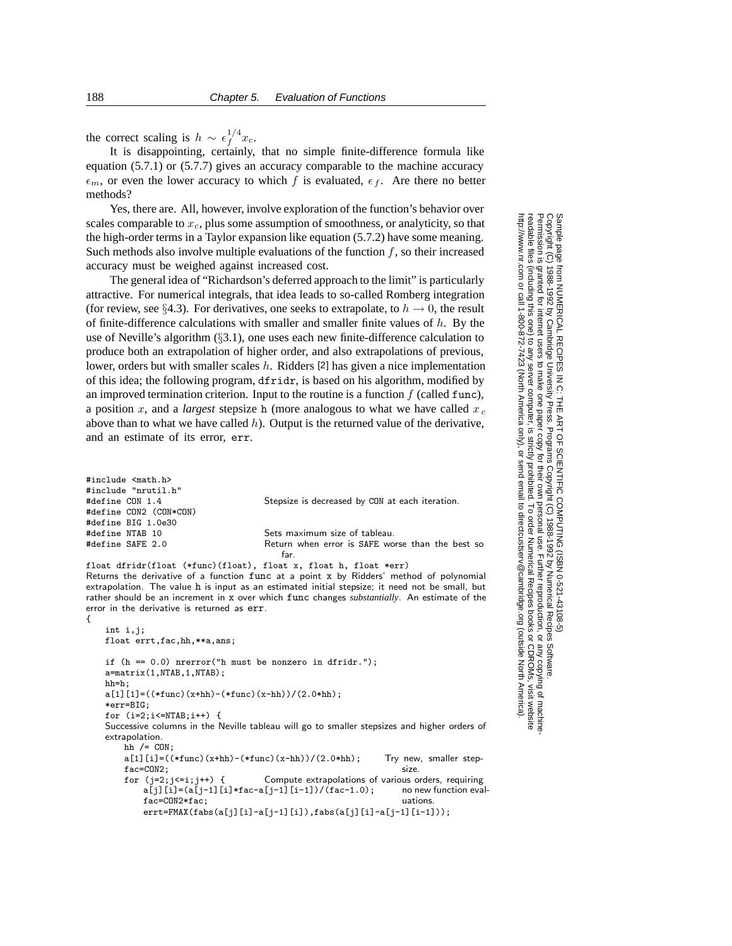the correct scaling is  $h \sim \epsilon_f^{1/4} x_c$ .

It is disappointing, certainly, that no simple finite-difference formula like equation (5.7.1) or (5.7.7) gives an accuracy comparable to the machine accuracy  $\epsilon_m$ , or even the lower accuracy to which f is evaluated,  $\epsilon_f$ . Are there no better methods?

Yes, there are. All, however, involve exploration of the function's behavior over scales comparable to  $x_c$ , plus some assumption of smoothness, or analyticity, so that the high-order terms in a Taylor expansion like equation (5.7.2) have some meaning. Such methods also involve multiple evaluations of the function  $f$ , so their increased accuracy must be weighed against increased cost.

The general idea of "Richardson's deferred approach to the limit" is particularly attractive. For numerical integrals, that idea leads to so-called Romberg integration (for review, see §4.3). For derivatives, one seeks to extrapolate, to  $h \rightarrow 0$ , the result of finite-difference calculations with smaller and smaller finite values of h. By the use of Neville's algorithm (§3.1), one uses each new finite-difference calculation to produce both an extrapolation of higher order, and also extrapolations of previous, lower, orders but with smaller scales h. Ridders [2] has given a nice implementation of this idea; the following program, dfridr, is based on his algorithm, modified by an improved termination criterion. Input to the routine is a function  $f$  (called func), a position x, and a *largest* stepsize h (more analogous to what we have called  $x_c$ above than to what we have called  $h$ ). Output is the returned value of the derivative, and an estimate of its error, err.

| #include <math.h></math.h> |                                                  |
|----------------------------|--------------------------------------------------|
| #include "nrutil.h"        |                                                  |
| #define CON 1.4            | Stepsize is decreased by CON at each iteration.  |
| #define CON2 (CON*CON)     |                                                  |
| #define BIG 1.0e30         |                                                  |
| #define NTAB 10            | Sets maximum size of tableau.                    |
| #define SAFE 2.0           | Return when error is SAFE worse than the best so |
|                            | far.                                             |

float dfridr(float (\*func)(float), float x, float h, float \*err) Returns the derivative of a function func at a point x by Ridders' method of polynomial extrapolation. The value h is input as an estimated initial stepsize; it need not be small, but rather should be an increment in x over which func changes *substantially*. An estimate of the error in the derivative is returned as err. {

```
int i,j;
float errt,fac,hh,**a,ans;
if (h == 0.0) nrerror("h must be nonzero in dfridr.");
a=matrix(1,NTAB,1,NTAB);
hh=h;
a[1][1]=((*func)(x+hh)-(*func)(x-hh))/(2.0*hh);
*err=BIG;
for (i=2;i<=NTAB;i++) {
Successive columns in the Neville tableau will go to smaller stepsizes and higher orders of
extrapolation.
   hh / = \text{CON};
   a[1][i] = ((*func)(x+hh)-(*func)(x-hh))/(2.0*hh); Try new, smaller step-
   fac=CON2; size.
   for (j=2;j<=i;j++) { Compute extrapolations of various orders, requiring
                                                           no new function eval-
                                                           uations.
       a[j][i]=(a[j-1][i]*fac-a[j-1][i-1])/(fac-1.0);
       fac=CON2*fac;
       errt=FMAX(fabs(a[j][i]-a[j-1][i]),fabs(a[j][i]-a[j-1][i-1]));
```
Permission is granted for internet users to make one paper copy for their own personal use. Further reproduction, or any copyin Copyright (C) 1988-1992 by Cambridge University Press.Programs Copyright (C) 1988-1992 by Numerical Recipes Software. Sample page from NUMERICAL RECIPES IN C: THE ART OF SCIENTIFIC COMPUTING (ISBN 0-521-43108-5) g of machinereadable files (including this one) to any servercomputer, is strictly prohibited. To order Numerical Recipes booksor CDROMs, visit website http://www.nr.com or call 1-800-872-7423 (North America only),or send email to directcustserv@cambridge.org (outside North America).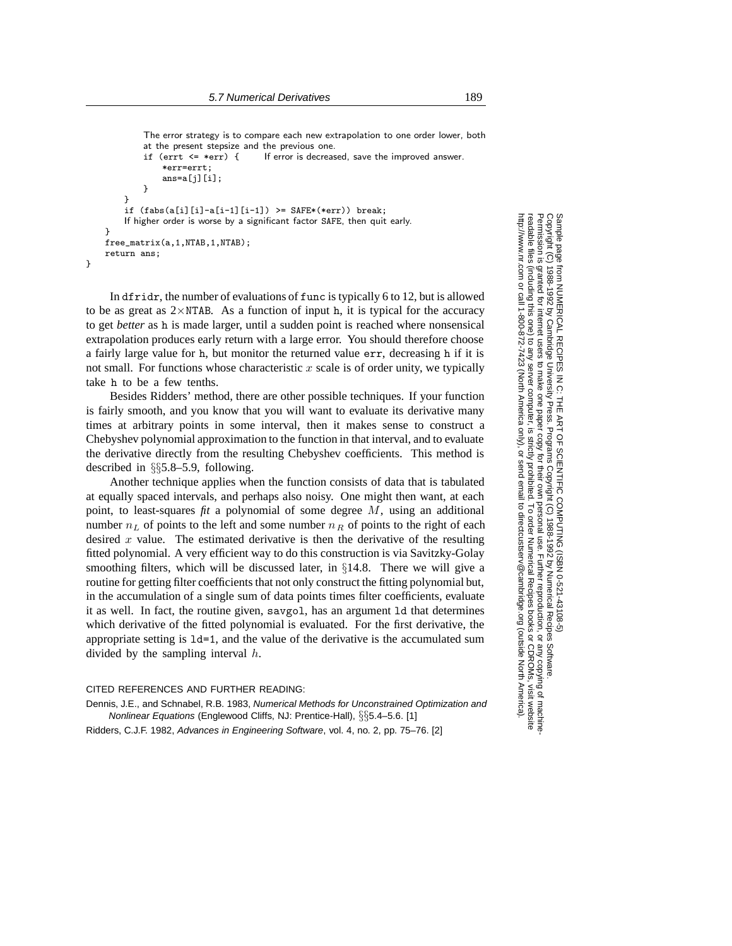```
The error strategy is to compare each new extrapolation to one order lower, both
             at the present stepsize and the previous one.
             if (errt \leq *err) { If error is decreased, save the improved answer.
                 *err=errt;
                 ans=a[j][i];
            }
        }
        if (fabs(a[i][i]-a[i-1][i-1]) \geq ShFE*(*err)) break;
        If higher order is worse by a significant factor SAFE, then quit early.
    }
    free_matrix(a,1,NTAB,1,NTAB);
    return ans;
}
```
In dfridr, the number of evaluations of func is typically 6 to 12, but is allowed to be as great as  $2\times$ NTAB. As a function of input h, it is typical for the accuracy to get *better* as h is made larger, until a sudden point is reached where nonsensical extrapolation produces early return with a large error. You should therefore choose a fairly large value for h, but monitor the returned value err, decreasing h if it is not small. For functions whose characteristic  $x$  scale is of order unity, we typically take h to be a few tenths.

Besides Ridders' method, there are other possible techniques. If your function is fairly smooth, and you know that you will want to evaluate its derivative many times at arbitrary points in some interval, then it makes sense to construct a Chebyshev polynomial approximation to the function in that interval, and to evaluate the derivative directly from the resulting Chebyshev coefficients. This method is described in §§5.8–5.9, following.

Another technique applies when the function consists of data that is tabulated at equally spaced intervals, and perhaps also noisy. One might then want, at each point, to least-squares *fit* a polynomial of some degree M, using an additional number  $n<sub>L</sub>$  of points to the left and some number  $n<sub>R</sub>$  of points to the right of each desired  $x$  value. The estimated derivative is then the derivative of the resulting fitted polynomial. A very efficient way to do this construction is via Savitzky-Golay smoothing filters, which will be discussed later, in  $\S 14.8$ . There we will give a routine for getting filter coefficients that not only construct the fitting polynomial but, in the accumulation of a single sum of data points times filter coefficients, evaluate it as well. In fact, the routine given, savgol, has an argument ld that determines which derivative of the fitted polynomial is evaluated. For the first derivative, the appropriate setting is  $1d=1$ , and the value of the derivative is the accumulated sum divided by the sampling interval h.

```
CITED REFERENCES AND FURTHER READING:
```
Dennis, J.E., and Schnabel, R.B. 1983, Numerical Methods for Unconstrained Optimization and Nonlinear Equations (Englewood Cliffs, NJ: Prentice-Hall), §§5.4–5.6. [1]

Ridders, C.J.F. 1982, Advances in Engineering Software, vol. 4, no. 2, pp. 75–76. [2]

Permission is granted for internet users to make one paper copy for their own personal use. Further reproduction, or any copyin Copyright (C) 1988-1992 by Cambridge University Press.Programs Copyright (C) 1988-1992 by Numerical Recipes Software. Sample page from NUMERICAL RECIPES IN C: THE ART OF SCIENTIFIC COMPUTING (ISBN 0-521-43108-5) g of machinereadable files (including this one) to any servercomputer, is strictly prohibited. To order Numerical Recipes booksor CDROMs, visit website http://www.nr.com or call 1-800-872-7423 (North America only),or send email to directcustserv@cambridge.org (outside North America).